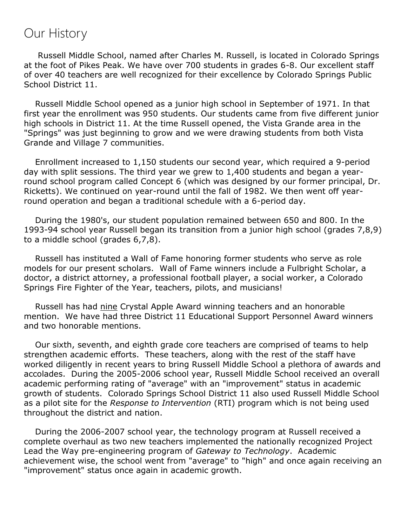## Our History

 Russell Middle School, named after Charles M. Russell, is located in Colorado Springs at the foot of Pikes Peak. We have over 700 students in grades 6-8. Our excellent staff of over 40 teachers are well recognized for their excellence by Colorado Springs Public School District 11.

 Russell Middle School opened as a junior high school in September of 1971. In that first year the enrollment was 950 students. Our students came from five different junior high schools in District 11. At the time Russell opened, the Vista Grande area in the "Springs" was just beginning to grow and we were drawing students from both Vista Grande and Village 7 communities.

 Enrollment increased to 1,150 students our second year, which required a 9-period day with split sessions. The third year we grew to 1,400 students and began a yearround school program called Concept 6 (which was designed by our former principal, Dr. Ricketts). We continued on year-round until the fall of 1982. We then went off yearround operation and began a traditional schedule with a 6-period day.

 During the 1980's, our student population remained between 650 and 800. In the 1993-94 school year Russell began its transition from a junior high school (grades 7,8,9) to a middle school (grades 6,7,8).

 Russell has instituted a Wall of Fame honoring former students who serve as role models for our present scholars. Wall of Fame winners include a Fulbright Scholar, a doctor, a district attorney, a professional football player, a social worker, a Colorado Springs Fire Fighter of the Year, teachers, pilots, and musicians!

 Russell has had nine Crystal Apple Award winning teachers and an honorable mention. We have had three District 11 Educational Support Personnel Award winners and two honorable mentions.

 Our sixth, seventh, and eighth grade core teachers are comprised of teams to help strengthen academic efforts. These teachers, along with the rest of the staff have worked diligently in recent years to bring Russell Middle School a plethora of awards and accolades. During the 2005-2006 school year, Russell Middle School received an overall academic performing rating of "average" with an "improvement" status in academic growth of students. Colorado Springs School District 11 also used Russell Middle School as a pilot site for the *Response to Intervention* (RTI) program which is not being used throughout the district and nation.

 During the 2006-2007 school year, the technology program at Russell received a complete overhaul as two new teachers implemented the nationally recognized Project Lead the Way pre-engineering program of *Gateway to Technology*. Academic achievement wise, the school went from "average" to "high" and once again receiving an "improvement" status once again in academic growth.